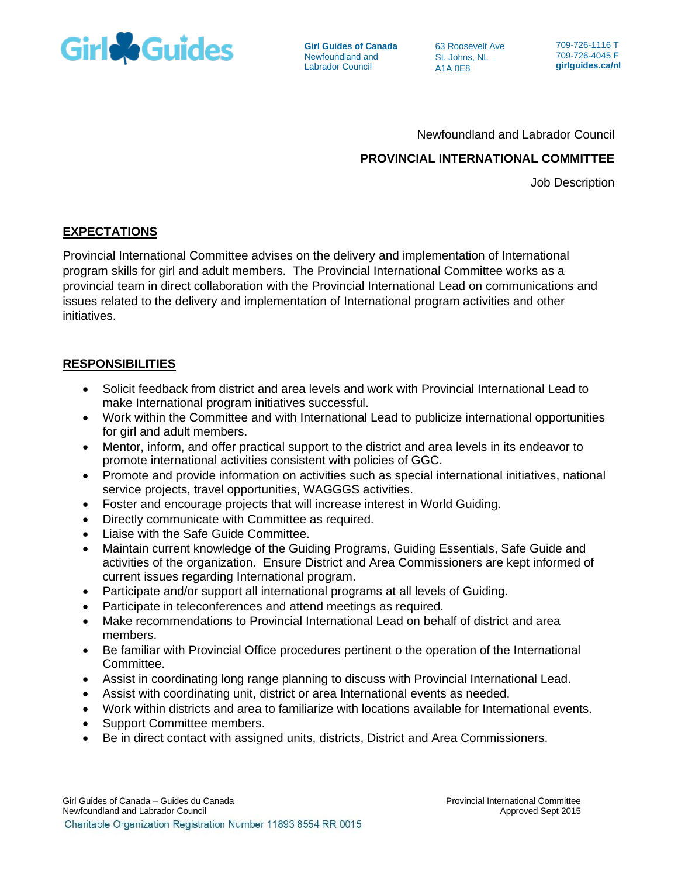

**Girl Guides of Canada** Newfoundland and Labrador Council

63 Roosevelt Ave St. Johns, NL A1A 0E8

709-726-1116 T 709-726-4045 **F girlguides.ca/nl**

### Newfoundland and Labrador Council

# **PROVINCIAL INTERNATIONAL COMMITTEE**

Job Description

## **EXPECTATIONS**

Provincial International Committee advises on the delivery and implementation of International program skills for girl and adult members. The Provincial International Committee works as a provincial team in direct collaboration with the Provincial International Lead on communications and issues related to the delivery and implementation of International program activities and other initiatives.

### **RESPONSIBILITIES**

- Solicit feedback from district and area levels and work with Provincial International Lead to make International program initiatives successful.
- Work within the Committee and with International Lead to publicize international opportunities for girl and adult members.
- Mentor, inform, and offer practical support to the district and area levels in its endeavor to promote international activities consistent with policies of GGC.
- Promote and provide information on activities such as special international initiatives, national service projects, travel opportunities, WAGGGS activities.
- Foster and encourage projects that will increase interest in World Guiding.
- Directly communicate with Committee as required.
- Liaise with the Safe Guide Committee.
- Maintain current knowledge of the Guiding Programs, Guiding Essentials, Safe Guide and activities of the organization. Ensure District and Area Commissioners are kept informed of current issues regarding International program.
- Participate and/or support all international programs at all levels of Guiding.
- Participate in teleconferences and attend meetings as required.
- Make recommendations to Provincial International Lead on behalf of district and area members.
- Be familiar with Provincial Office procedures pertinent o the operation of the International Committee.
- Assist in coordinating long range planning to discuss with Provincial International Lead.
- Assist with coordinating unit, district or area International events as needed.
- Work within districts and area to familiarize with locations available for International events.
- Support Committee members.
- Be in direct contact with assigned units, districts, District and Area Commissioners.